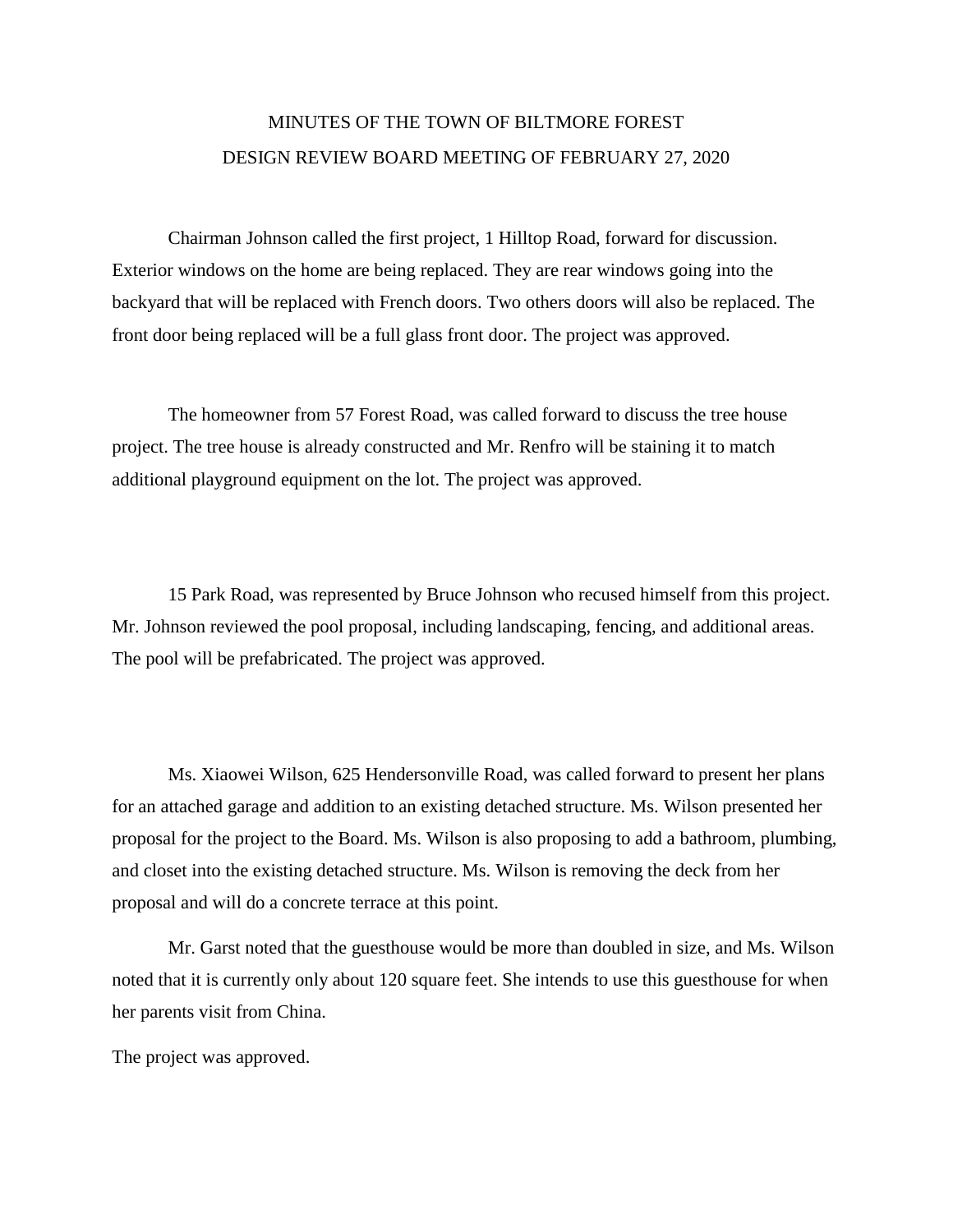## MINUTES OF THE TOWN OF BILTMORE FOREST DESIGN REVIEW BOARD MEETING OF FEBRUARY 27, 2020

Chairman Johnson called the first project, 1 Hilltop Road, forward for discussion. Exterior windows on the home are being replaced. They are rear windows going into the backyard that will be replaced with French doors. Two others doors will also be replaced. The front door being replaced will be a full glass front door. The project was approved.

The homeowner from 57 Forest Road, was called forward to discuss the tree house project. The tree house is already constructed and Mr. Renfro will be staining it to match additional playground equipment on the lot. The project was approved.

15 Park Road, was represented by Bruce Johnson who recused himself from this project. Mr. Johnson reviewed the pool proposal, including landscaping, fencing, and additional areas. The pool will be prefabricated. The project was approved.

Ms. Xiaowei Wilson, 625 Hendersonville Road, was called forward to present her plans for an attached garage and addition to an existing detached structure. Ms. Wilson presented her proposal for the project to the Board. Ms. Wilson is also proposing to add a bathroom, plumbing, and closet into the existing detached structure. Ms. Wilson is removing the deck from her proposal and will do a concrete terrace at this point.

Mr. Garst noted that the guesthouse would be more than doubled in size, and Ms. Wilson noted that it is currently only about 120 square feet. She intends to use this guesthouse for when her parents visit from China.

The project was approved.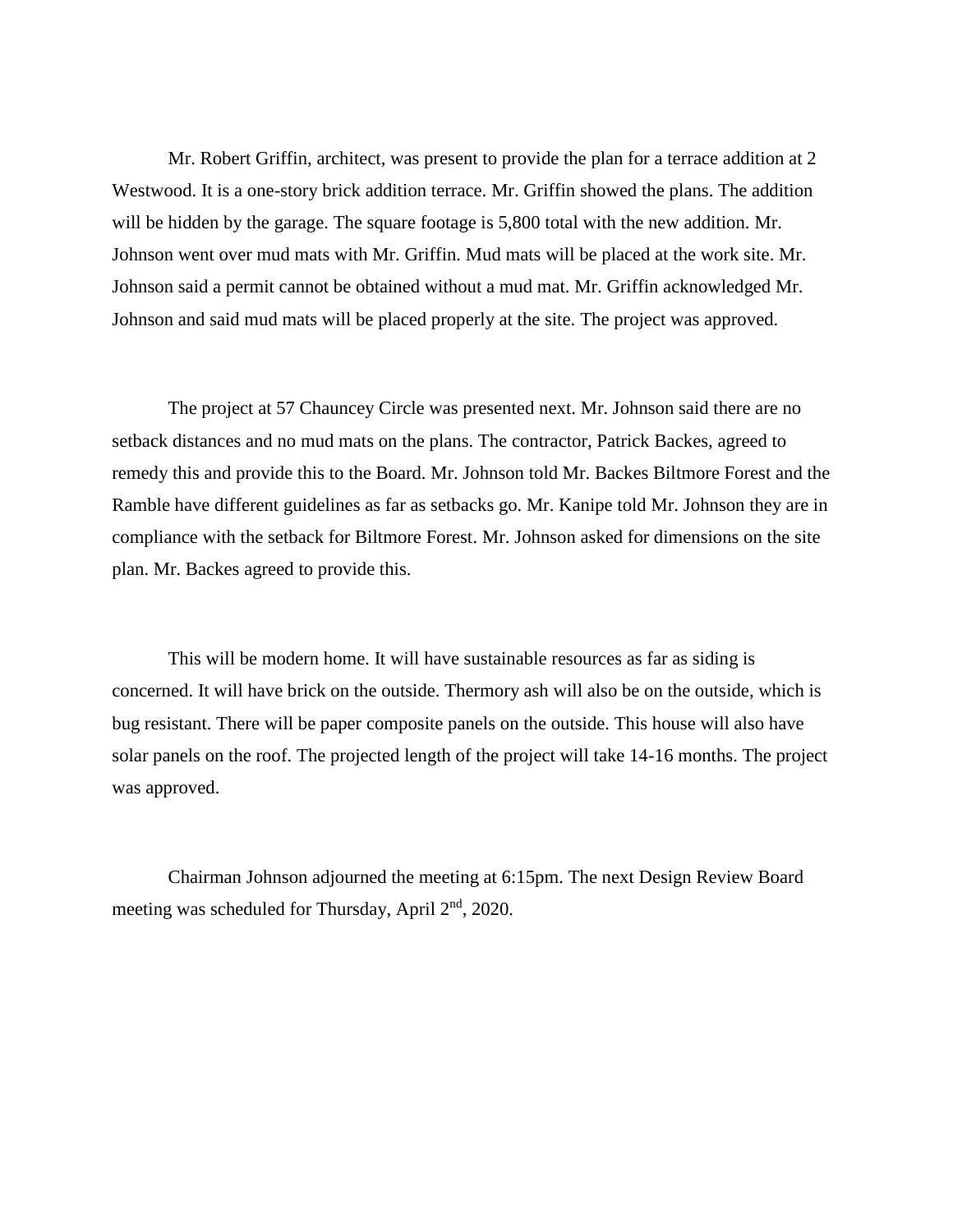Mr. Robert Griffin, architect, was present to provide the plan for a terrace addition at 2 Westwood. It is a one-story brick addition terrace. Mr. Griffin showed the plans. The addition will be hidden by the garage. The square footage is 5,800 total with the new addition. Mr. Johnson went over mud mats with Mr. Griffin. Mud mats will be placed at the work site. Mr. Johnson said a permit cannot be obtained without a mud mat. Mr. Griffin acknowledged Mr. Johnson and said mud mats will be placed properly at the site. The project was approved.

The project at 57 Chauncey Circle was presented next. Mr. Johnson said there are no setback distances and no mud mats on the plans. The contractor, Patrick Backes, agreed to remedy this and provide this to the Board. Mr. Johnson told Mr. Backes Biltmore Forest and the Ramble have different guidelines as far as setbacks go. Mr. Kanipe told Mr. Johnson they are in compliance with the setback for Biltmore Forest. Mr. Johnson asked for dimensions on the site plan. Mr. Backes agreed to provide this.

This will be modern home. It will have sustainable resources as far as siding is concerned. It will have brick on the outside. Thermory ash will also be on the outside, which is bug resistant. There will be paper composite panels on the outside. This house will also have solar panels on the roof. The projected length of the project will take 14-16 months. The project was approved.

Chairman Johnson adjourned the meeting at 6:15pm. The next Design Review Board meeting was scheduled for Thursday, April 2<sup>nd</sup>, 2020.